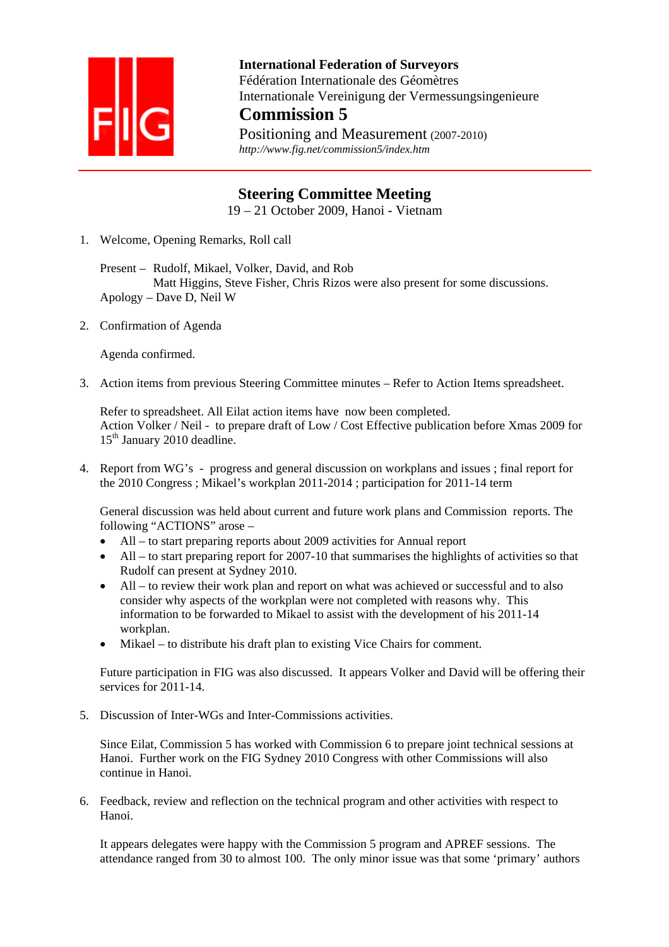

**International Federation of Surveyors**  Fédération Internationale des Géomètres Internationale Vereinigung der Vermessungsingenieure **Commission 5**

Positioning and Measurement (2007-2010)  *http://www.fig.net/commission5/index.htm* 

## **Steering Committee Meeting**

19 – 21 October 2009, Hanoi - Vietnam

1. Welcome, Opening Remarks, Roll call

Present – Rudolf, Mikael, Volker, David, and Rob Matt Higgins, Steve Fisher, Chris Rizos were also present for some discussions. Apology – Dave D, Neil W

2. Confirmation of Agenda

Agenda confirmed.

3. Action items from previous Steering Committee minutes – Refer to Action Items spreadsheet.

Refer to spreadsheet. All Eilat action items have now been completed. Action Volker / Neil - to prepare draft of Low / Cost Effective publication before Xmas 2009 for 15<sup>th</sup> January 2010 deadline.

4. Report from WG's - progress and general discussion on workplans and issues ; final report for the 2010 Congress ; Mikael's workplan 2011-2014 ; participation for 2011-14 term

General discussion was held about current and future work plans and Commission reports. The following "ACTIONS" arose –

- All to start preparing reports about 2009 activities for Annual report
- All to start preparing report for 2007-10 that summarises the highlights of activities so that Rudolf can present at Sydney 2010.
- All to review their work plan and report on what was achieved or successful and to also consider why aspects of the workplan were not completed with reasons why. This information to be forwarded to Mikael to assist with the development of his 2011-14 workplan.
- Mikael to distribute his draft plan to existing Vice Chairs for comment.

Future participation in FIG was also discussed. It appears Volker and David will be offering their services for 2011-14.

5. Discussion of Inter-WGs and Inter-Commissions activities.

Since Eilat, Commission 5 has worked with Commission 6 to prepare joint technical sessions at Hanoi. Further work on the FIG Sydney 2010 Congress with other Commissions will also continue in Hanoi.

6. Feedback, review and reflection on the technical program and other activities with respect to Hanoi.

It appears delegates were happy with the Commission 5 program and APREF sessions. The attendance ranged from 30 to almost 100. The only minor issue was that some 'primary' authors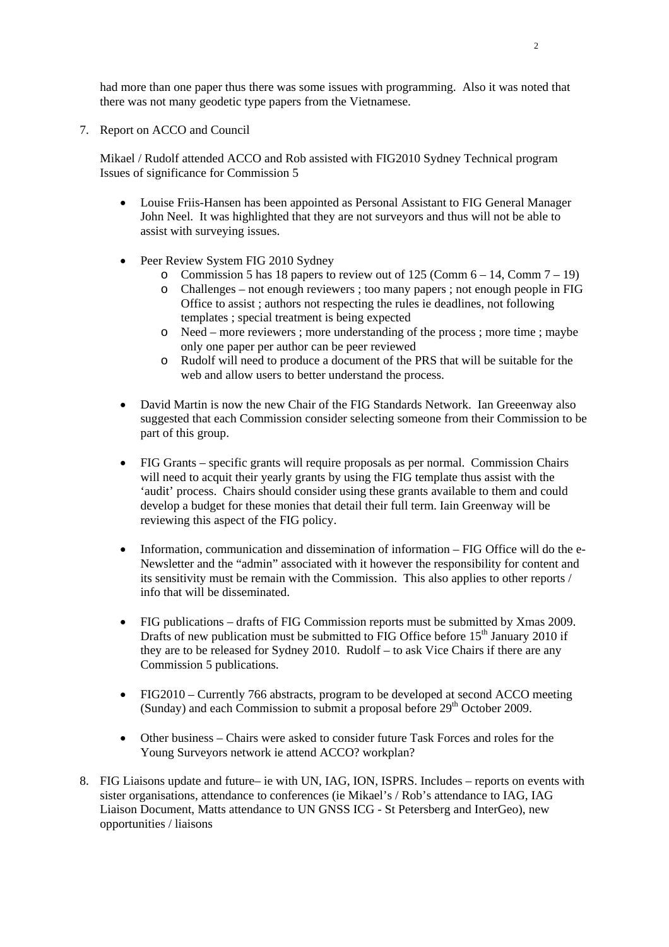had more than one paper thus there was some issues with programming. Also it was noted that there was not many geodetic type papers from the Vietnamese.

7. Report on ACCO and Council

Mikael / Rudolf attended ACCO and Rob assisted with FIG2010 Sydney Technical program Issues of significance for Commission 5

- Louise Friis-Hansen has been appointed as Personal Assistant to FIG General Manager John Neel. It was highlighted that they are not surveyors and thus will not be able to assist with surveying issues.
- Peer Review System FIG 2010 Sydney
	- o Commission 5 has 18 papers to review out of 125 (Comm  $6 14$ , Comm  $7 19$ )
	- o Challenges not enough reviewers ; too many papers ; not enough people in FIG Office to assist ; authors not respecting the rules ie deadlines, not following templates ; special treatment is being expected
	- o Need more reviewers ; more understanding of the process ; more time ; maybe only one paper per author can be peer reviewed
	- o Rudolf will need to produce a document of the PRS that will be suitable for the web and allow users to better understand the process.
- David Martin is now the new Chair of the FIG Standards Network. Ian Greeenway also suggested that each Commission consider selecting someone from their Commission to be part of this group.
- FIG Grants specific grants will require proposals as per normal. Commission Chairs will need to acquit their yearly grants by using the FIG template thus assist with the 'audit' process. Chairs should consider using these grants available to them and could develop a budget for these monies that detail their full term. Iain Greenway will be reviewing this aspect of the FIG policy.
- Information, communication and dissemination of information FIG Office will do the e-Newsletter and the "admin" associated with it however the responsibility for content and its sensitivity must be remain with the Commission. This also applies to other reports / info that will be disseminated.
- FIG publications drafts of FIG Commission reports must be submitted by Xmas 2009. Drafts of new publication must be submitted to FIG Office before  $15<sup>th</sup>$  January 2010 if they are to be released for Sydney 2010. Rudolf – to ask Vice Chairs if there are any Commission 5 publications.
- FIG2010 Currently 766 abstracts, program to be developed at second ACCO meeting (Sunday) and each Commission to submit a proposal before  $29<sup>th</sup>$  October 2009.
- Other business Chairs were asked to consider future Task Forces and roles for the Young Surveyors network ie attend ACCO? workplan?
- 8. FIG Liaisons update and future– ie with UN, IAG, ION, ISPRS. Includes reports on events with sister organisations, attendance to conferences (ie Mikael's / Rob's attendance to IAG, IAG Liaison Document, Matts attendance to UN GNSS ICG - St Petersberg and InterGeo), new opportunities / liaisons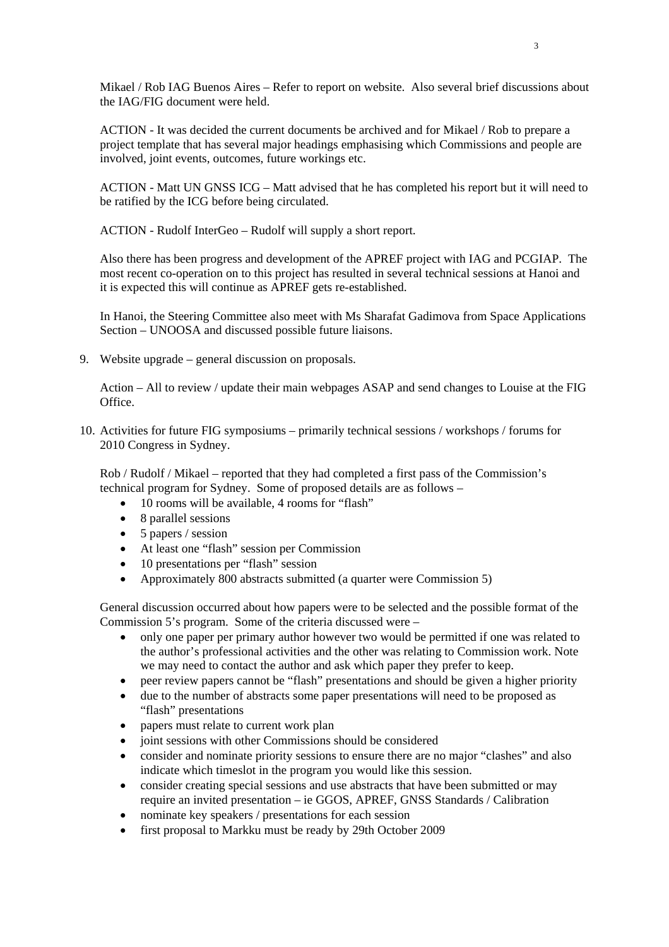Mikael / Rob IAG Buenos Aires – Refer to report on website. Also several brief discussions about the IAG/FIG document were held.

ACTION - It was decided the current documents be archived and for Mikael / Rob to prepare a project template that has several major headings emphasising which Commissions and people are involved, joint events, outcomes, future workings etc.

ACTION - Matt UN GNSS ICG – Matt advised that he has completed his report but it will need to be ratified by the ICG before being circulated.

ACTION - Rudolf InterGeo – Rudolf will supply a short report.

Also there has been progress and development of the APREF project with IAG and PCGIAP. The most recent co-operation on to this project has resulted in several technical sessions at Hanoi and it is expected this will continue as APREF gets re-established.

In Hanoi, the Steering Committee also meet with Ms Sharafat Gadimova from Space Applications Section – UNOOSA and discussed possible future liaisons.

9. Website upgrade – general discussion on proposals.

Action – All to review / update their main webpages ASAP and send changes to Louise at the FIG Office.

10. Activities for future FIG symposiums – primarily technical sessions / workshops / forums for 2010 Congress in Sydney.

Rob / Rudolf / Mikael – reported that they had completed a first pass of the Commission's technical program for Sydney. Some of proposed details are as follows –

- 10 rooms will be available, 4 rooms for "flash"
- 8 parallel sessions
- 5 papers / session
- At least one "flash" session per Commission
- 10 presentations per "flash" session
- Approximately 800 abstracts submitted (a quarter were Commission 5)

General discussion occurred about how papers were to be selected and the possible format of the Commission 5's program. Some of the criteria discussed were –

- only one paper per primary author however two would be permitted if one was related to the author's professional activities and the other was relating to Commission work. Note we may need to contact the author and ask which paper they prefer to keep.
- peer review papers cannot be "flash" presentations and should be given a higher priority
- due to the number of abstracts some paper presentations will need to be proposed as "flash" presentations
- papers must relate to current work plan
- joint sessions with other Commissions should be considered
- consider and nominate priority sessions to ensure there are no major "clashes" and also indicate which timeslot in the program you would like this session.
- consider creating special sessions and use abstracts that have been submitted or may require an invited presentation – ie GGOS, APREF, GNSS Standards / Calibration
- nominate key speakers / presentations for each session
- first proposal to Markku must be ready by 29th October 2009